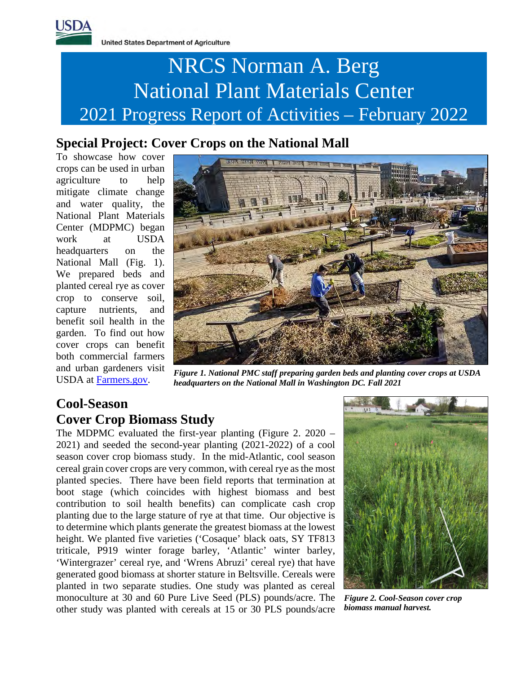

**United States Department of Agriculture** 

# NRCS Norman A. Berg National Plant Materials Center 2021 Progress Report of Activities – February 2022

### **Special Project: Cover Crops on the National Mall**

To showcase how cover crops can be used in urban agriculture to help mitigate climate change and water quality, the National Plant Materials Center (MDPMC) began work at USDA headquarters on the National Mall (Fig. 1). We prepared beds and planted cereal rye as cover crop to conserve soil, capture nutrients, and benefit soil health in the garden. To find out how cover crops can benefit both commercial farmers and urban gardeners visit USDA at [Farmers.gov.](https://www.farmers.gov/blog/cover-crops-benefit-both-commercial-farmers-and-urban-gardeners?state=&utm_campaign=usda&utm_content=coverrops&utm_medium=email&utm_source=govdelivery)



*Figure 1. National PMC staff preparing garden beds and planting cover crops at USDA headquarters on the National Mall in Washington DC. Fall 2021*

### **Cool-Season Cover Crop Biomass Study**

The MDPMC evaluated the first-year planting (Figure 2. 2020 – 2021) and seeded the second-year planting (2021-2022) of a cool season cover crop biomass study. In the mid-Atlantic, cool season cereal grain cover crops are very common, with cereal rye as the most planted species. There have been field reports that termination at boot stage (which coincides with highest biomass and best contribution to soil health benefits) can complicate cash crop planting due to the large stature of rye at that time. Our objective is to determine which plants generate the greatest biomass at the lowest height. We planted five varieties ('Cosaque' black oats, SY TF813 triticale, P919 winter forage barley, 'Atlantic' winter barley, 'Wintergrazer' cereal rye, and 'Wrens Abruzi' cereal rye) that have generated good biomass at shorter stature in Beltsville. Cereals were planted in two separate studies. One study was planted as cereal monoculture at 30 and 60 Pure Live Seed (PLS) pounds/acre. The other study was planted with cereals at 15 or 30 PLS pounds/acre



*Figure 2. Cool-Season cover crop biomass manual harvest.*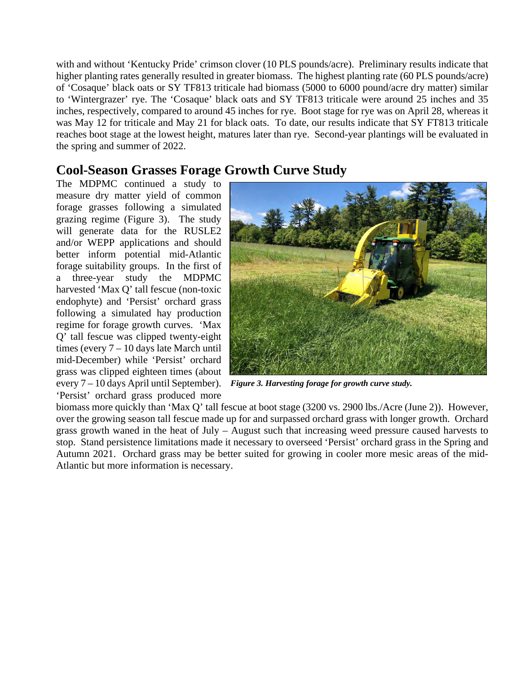with and without 'Kentucky Pride' crimson clover (10 PLS pounds/acre). Preliminary results indicate that higher planting rates generally resulted in greater biomass. The highest planting rate (60 PLS pounds/acre) of 'Cosaque' black oats or SY TF813 triticale had biomass (5000 to 6000 pound/acre dry matter) similar to 'Wintergrazer' rye. The 'Cosaque' black oats and SY TF813 triticale were around 25 inches and 35 inches, respectively, compared to around 45 inches for rye. Boot stage for rye was on April 28, whereas it was May 12 for triticale and May 21 for black oats. To date, our results indicate that SY FT813 triticale reaches boot stage at the lowest height, matures later than rye. Second-year plantings will be evaluated in the spring and summer of 2022.

#### **Cool-Season Grasses Forage Growth Curve Study**

The MDPMC continued a study to measure dry matter yield of common forage grasses following a simulated grazing regime (Figure 3). The study will generate data for the RUSLE2 and/or WEPP applications and should better inform potential mid-Atlantic forage suitability groups. In the first of a three-year study the MDPMC harvested 'Max Q' tall fescue (non-toxic endophyte) and 'Persist' orchard grass following a simulated hay production regime for forage growth curves. 'Max Q' tall fescue was clipped twenty-eight times (every 7 – 10 days late March until mid-December) while 'Persist' orchard grass was clipped eighteen times (about every 7 – 10 days April until September). 'Persist' orchard grass produced more



*Figure 3. Harvesting forage for growth curve study.*

biomass more quickly than 'Max Q' tall fescue at boot stage (3200 vs. 2900 lbs./Acre (June 2)). However, over the growing season tall fescue made up for and surpassed orchard grass with longer growth. Orchard grass growth waned in the heat of July – August such that increasing weed pressure caused harvests to stop. Stand persistence limitations made it necessary to overseed 'Persist' orchard grass in the Spring and Autumn 2021. Orchard grass may be better suited for growing in cooler more mesic areas of the mid-Atlantic but more information is necessary.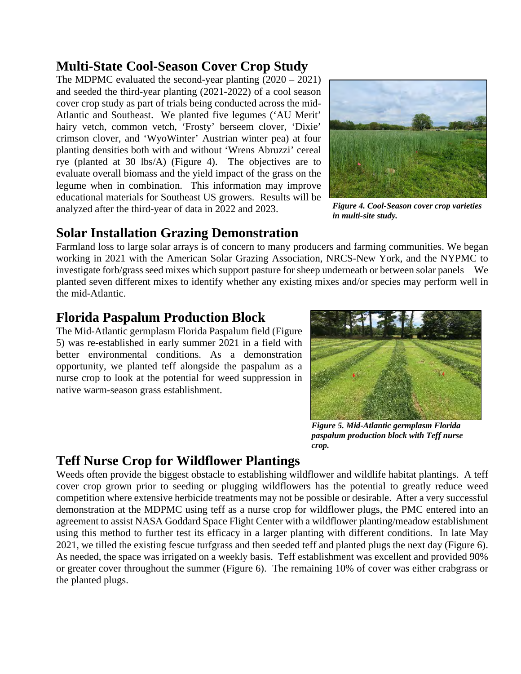#### **Multi-State Cool-Season Cover Crop Study**

The MDPMC evaluated the second-year planting (2020 – 2021) and seeded the third-year planting (2021-2022) of a cool season cover crop study as part of trials being conducted across the mid-Atlantic and Southeast. We planted five legumes ('AU Merit' hairy vetch, common vetch, 'Frosty' berseem clover, 'Dixie' crimson clover, and 'WyoWinter' Austrian winter pea) at four planting densities both with and without 'Wrens Abruzzi' cereal rye (planted at 30 lbs/A) (Figure 4). The objectives are to evaluate overall biomass and the yield impact of the grass on the legume when in combination. This information may improve educational materials for Southeast US growers. Results will be analyzed after the third-year of data in 2022 and 2023.



*Figure 4. Cool-Season cover crop varieties in multi-site study.*

#### **Solar Installation Grazing Demonstration**

Farmland loss to large solar arrays is of concern to many producers and farming communities. We began working in 2021 with the American Solar Grazing Association, NRCS-New York, and the NYPMC to investigate forb/grass seed mixes which support pasture for sheep underneath or between solar panels We planted seven different mixes to identify whether any existing mixes and/or species may perform well in the mid-Atlantic.

### **Florida Paspalum Production Block**

The Mid-Atlantic germplasm Florida Paspalum field (Figure 5) was re-established in early summer 2021 in a field with better environmental conditions. As a demonstration opportunity, we planted teff alongside the paspalum as a nurse crop to look at the potential for weed suppression in native warm-season grass establishment.



*Figure 5. Mid-Atlantic germplasm Florida paspalum production block with Teff nurse crop.*

### **Teff Nurse Crop for Wildflower Plantings**

Weeds often provide the biggest obstacle to establishing wildflower and wildlife habitat plantings. A teff cover crop grown prior to seeding or plugging wildflowers has the potential to greatly reduce weed competition where extensive herbicide treatments may not be possible or desirable. After a very successful demonstration at the MDPMC using teff as a nurse crop for wildflower plugs, the PMC entered into an agreement to assist NASA Goddard Space Flight Center with a wildflower planting/meadow establishment using this method to further test its efficacy in a larger planting with different conditions. In late May 2021, we tilled the existing fescue turfgrass and then seeded teff and planted plugs the next day (Figure 6). As needed, the space was irrigated on a weekly basis. Teff establishment was excellent and provided 90% or greater cover throughout the summer (Figure 6). The remaining 10% of cover was either crabgrass or the planted plugs.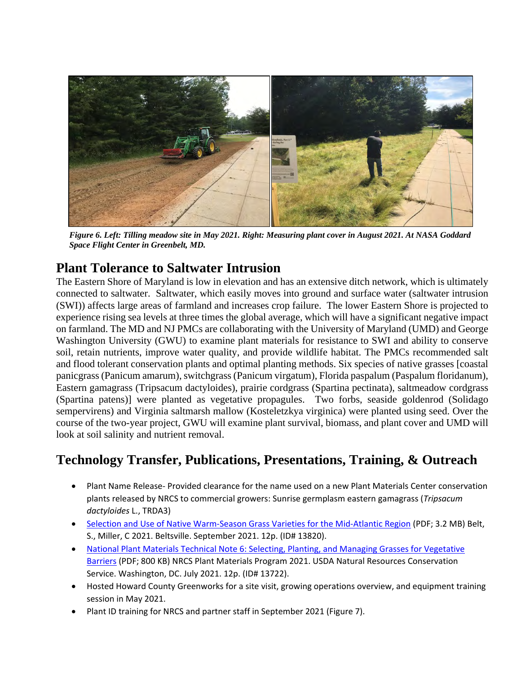

*Figure 6. Left: Tilling meadow site in May 2021. Right: Measuring plant cover in August 2021. At NASA Goddard Space Flight Center in Greenbelt, MD.*

#### **Plant Tolerance to Saltwater Intrusion**

The Eastern Shore of Maryland is low in elevation and has an extensive ditch network, which is ultimately connected to saltwater. Saltwater, which easily moves into ground and surface water (saltwater intrusion (SWI)) affects large areas of farmland and increases crop failure. The lower Eastern Shore is projected to experience rising sea levels at three times the global average, which will have a significant negative impact on farmland. The MD and NJ PMCs are collaborating with the University of Maryland (UMD) and George Washington University (GWU) to examine plant materials for resistance to SWI and ability to conserve soil, retain nutrients, improve water quality, and provide wildlife habitat. The PMCs recommended salt and flood tolerant conservation plants and optimal planting methods. Six species of native grasses [coastal panicgrass (Panicum amarum), switchgrass (Panicum virgatum), Florida paspalum (Paspalum floridanum), Eastern gamagrass (Tripsacum dactyloides), prairie cordgrass (Spartina pectinata), saltmeadow cordgrass (Spartina patens)] were planted as vegetative propagules. Two forbs, seaside goldenrod (Solidago sempervirens) and Virginia saltmarsh mallow (Kosteletzkya virginica) were planted using seed. Over the course of the two-year project, GWU will examine plant survival, biomass, and plant cover and UMD will look at soil salinity and nutrient removal.

## **Technology Transfer, Publications, Presentations, Training, & Outreach**

- Plant Name Release- Provided clearance for the name used on a new Plant Materials Center conservation plants released by NRCS to commercial growers: Sunrise germplasm eastern gamagrass (*Tripsacum dactyloides* L., TRDA3)
- [Selection and Use of Native Warm-Season Grass Varieties for the Mid-Atlantic Region](https://www.nrcs.usda.gov/Internet/FSE_PLANTMATERIALS/publications/mdpmctn13820.pdf) (PDF; 3.2 MB) Belt, S., Miller, C 2021. Beltsville. September 2021. 12p. (ID# 13820).
- [National Plant Materials Technical Note 6: Selecting, Planting, and Managing Grasses for Vegetative](https://www.nrcs.usda.gov/Internet/FSE_PLANTMATERIALS/publications/natpmtn13722.pdf)  [Barriers](https://www.nrcs.usda.gov/Internet/FSE_PLANTMATERIALS/publications/natpmtn13722.pdf) (PDF; 800 KB) NRCS Plant Materials Program 2021. USDA Natural Resources Conservation Service. Washington, DC. July 2021. 12p. (ID# 13722).
- Hosted Howard County Greenworks for a site visit, growing operations overview, and equipment training session in May 2021.
- Plant ID training for NRCS and partner staff in September 2021 (Figure 7).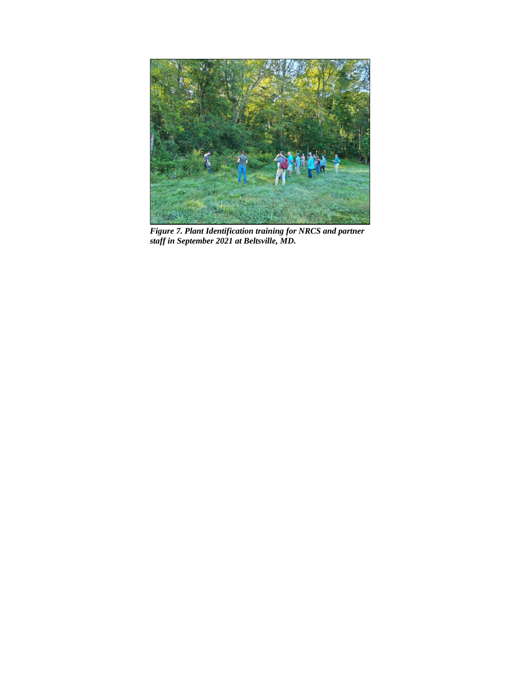

*Figure 7. Plant Identification training for NRCS and partner staff in September 2021 at Beltsville, MD.*